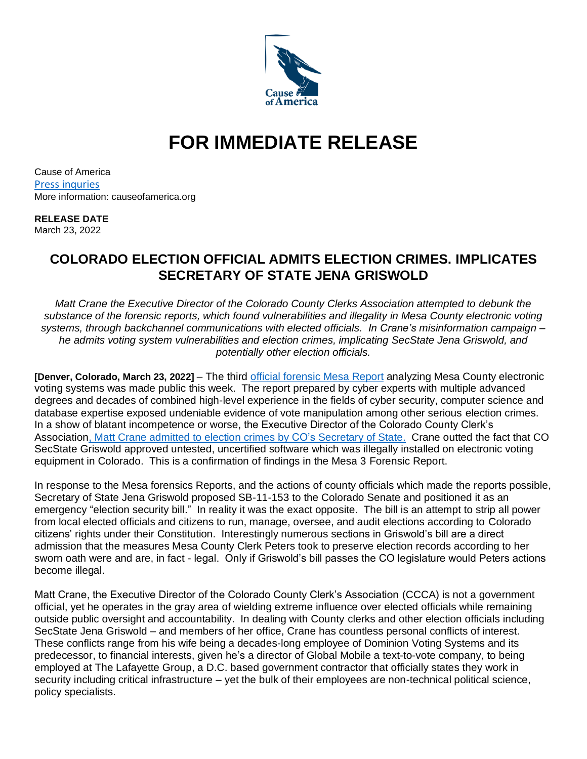

## **FOR IMMEDIATE RELEASE**

Cause of America [Press inquries](https://causeofamerica.org/press-inquiries/) More information: causeofamerica.org

## **RELEASE DATE**

March 23, 2022

## **COLORADO ELECTION OFFICIAL ADMITS ELECTION CRIMES. IMPLICATES SECRETARY OF STATE JENA GRISWOLD**

*Matt Crane the Executive Director of the Colorado County Clerks Association attempted to debunk the substance of the forensic reports, which found vulnerabilities and illegality in Mesa County electronic voting systems, through backchannel communications with elected officials. In Crane's misinformation campaign – he admits voting system vulnerabilities and election crimes, implicating SecState Jena Griswold, and potentially other election officials.*

**[Denver, Colorado, March 23, 2022]** – The third [official forensic](https://frankspeech.com/article/bombshell-proof-election-machine-manipulation) Mesa Report analyzing Mesa County electronic voting systems was made public this week. The report prepared by cyber experts with multiple advanced degrees and decades of combined high-level experience in the fields of cyber security, computer science and database expertise exposed undeniable evidence of vote manipulation among other serious election crimes. In a show of blatant incompetence or worse, the Executive Director of the Colorado County Clerk's Associatio[n, Matt Crane admitted to election crimes](https://causeofamerica.org/wp-content/uploads/Crane_-Original-message_-legislators.pdf) by CO's Secretary of State. Crane outted the fact that CO SecState Griswold approved untested, uncertified software which was illegally installed on electronic voting equipment in Colorado. This is a confirmation of findings in the Mesa 3 Forensic Report.

In response to the Mesa forensics Reports, and the actions of county officials which made the reports possible, Secretary of State Jena Griswold proposed SB-11-153 to the Colorado Senate and positioned it as an emergency "election security bill." In reality it was the exact opposite. The bill is an attempt to strip all power from local elected officials and citizens to run, manage, oversee, and audit elections according to Colorado citizens' rights under their Constitution. Interestingly numerous sections in Griswold's bill are a direct admission that the measures Mesa County Clerk Peters took to preserve election records according to her sworn oath were and are, in fact - legal. Only if Griswold's bill passes the CO legislature would Peters actions become illegal.

Matt Crane, the Executive Director of the Colorado County Clerk's Association (CCCA) is not a government official, yet he operates in the gray area of wielding extreme influence over elected officials while remaining outside public oversight and accountability. In dealing with County clerks and other election officials including SecState Jena Griswold – and members of her office, Crane has countless personal conflicts of interest. These conflicts range from his wife being a decades-long employee of Dominion Voting Systems and its predecessor, to financial interests, given he's a director of Global Mobile a text-to-vote company, to being employed at The Lafayette Group, a D.C. based government contractor that officially states they work in security including critical infrastructure – yet the bulk of their employees are non-technical political science, policy specialists.